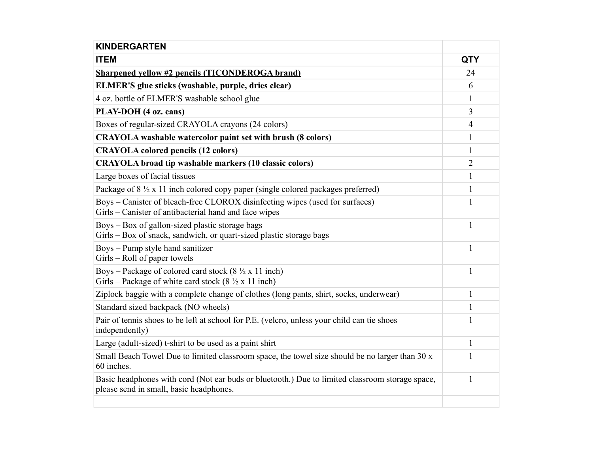| <b>KINDERGARTEN</b>                                                                                                                              |                |
|--------------------------------------------------------------------------------------------------------------------------------------------------|----------------|
| <b>ITEM</b>                                                                                                                                      | <b>QTY</b>     |
| <b>Sharpened vellow #2 pencils (TICONDEROGA brand)</b>                                                                                           | 24             |
| ELMER'S glue sticks (washable, purple, dries clear)                                                                                              | 6              |
| 4 oz. bottle of ELMER'S washable school glue                                                                                                     | 1              |
| PLAY-DOH (4 oz. cans)                                                                                                                            | 3              |
| Boxes of regular-sized CRAYOLA crayons (24 colors)                                                                                               | 4              |
| CRAYOLA washable watercolor paint set with brush (8 colors)                                                                                      | 1              |
| <b>CRAYOLA colored pencils (12 colors)</b>                                                                                                       | 1              |
| <b>CRAYOLA</b> broad tip washable markers (10 classic colors)                                                                                    | $\overline{2}$ |
| Large boxes of facial tissues                                                                                                                    | $\mathbf{1}$   |
| Package of $8\frac{1}{2}$ x 11 inch colored copy paper (single colored packages preferred)                                                       | $\mathbf{1}$   |
| Boys – Canister of bleach-free CLOROX disinfecting wipes (used for surfaces)<br>Girls – Canister of antibacterial hand and face wipes            | $\mathbf{1}$   |
| Boys – Box of gallon-sized plastic storage bags<br>Girls – Box of snack, sandwich, or quart-sized plastic storage bags                           | 1              |
| Boys – Pump style hand sanitizer<br>Girls – Roll of paper towels                                                                                 | 1              |
| Boys – Package of colored card stock (8 $\frac{1}{2}$ x 11 inch)<br>Girls – Package of white card stock $(8 \frac{1}{2} \times 11 \text{ inch})$ | $\mathbf{1}$   |
| Ziplock baggie with a complete change of clothes (long pants, shirt, socks, underwear)                                                           | $\mathbf{1}$   |
| Standard sized backpack (NO wheels)                                                                                                              | $\mathbf{1}$   |
| Pair of tennis shoes to be left at school for P.E. (velcro, unless your child can tie shoes<br>independently)                                    | $\mathbf{1}$   |
| Large (adult-sized) t-shirt to be used as a paint shirt                                                                                          | $\mathbf{1}$   |
| Small Beach Towel Due to limited classroom space, the towel size should be no larger than 30 x<br>60 inches.                                     | $\mathbf{1}$   |
| Basic headphones with cord (Not ear buds or bluetooth.) Due to limited classroom storage space,<br>please send in small, basic headphones.       | $\mathbf{1}$   |
|                                                                                                                                                  |                |